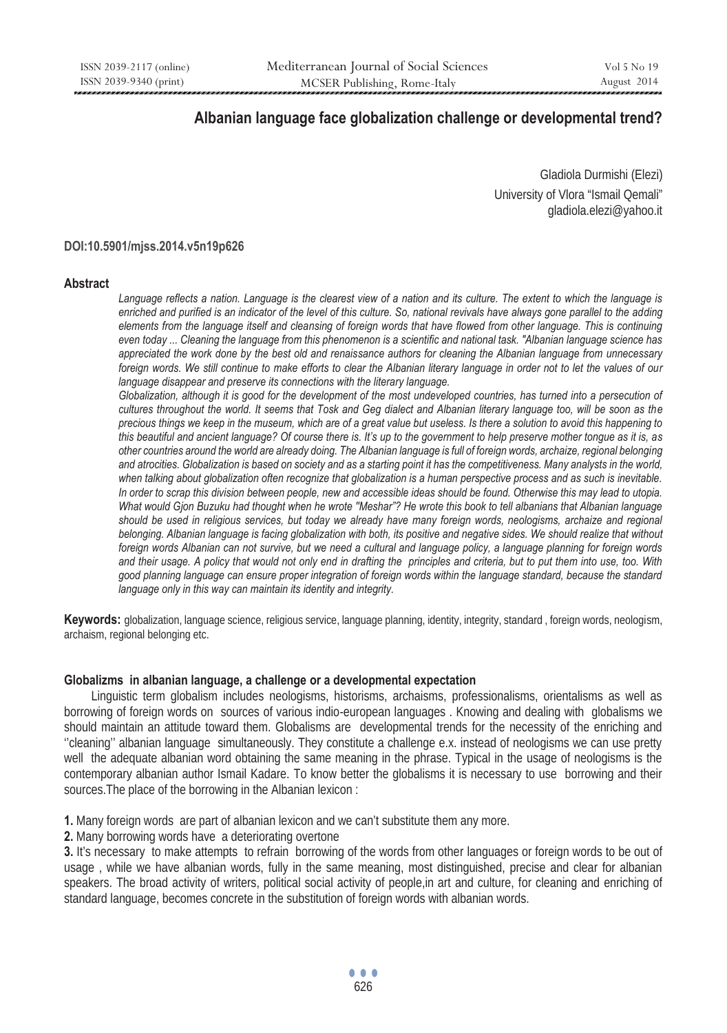# **Albanian language face globalization challenge or developmental trend?**

Gladiola Durmishi (Elezi) University of Vlora "Ismail Qemali" gladiola.elezi@yahoo.it

## **DOI:10.5901/mjss.2014.v5n19p626**

### **Abstract**

Language reflects a nation. Language is the clearest view of a nation and its culture. The extent to which the language is *enriched and purified is an indicator of the level of this culture. So, national revivals have always gone parallel to the adding*  elements from the language itself and cleansing of foreign words that have flowed from other language. This is continuing *even today ... Cleaning the language from this phenomenon is a scientific and national task. "Albanian language science has appreciated the work done by the best old and renaissance authors for cleaning the Albanian language from unnecessary*  foreign words. We still continue to make efforts to clear the Albanian literary language in order not to let the values of our *language disappear and preserve its connections with the literary language.* 

Globalization, although it is good for the development of the most undeveloped countries, has turned into a persecution of *cultures throughout the world. It seems that Tosk and Geg dialect and Albanian literary language too, will be soon as the precious things we keep in the museum, which are of a great value but useless. Is there a solution to avoid this happening to this beautiful and ancient language? Of course there is. It's up to the government to help preserve mother tongue as it is, as other countries around the world are already doing. The Albanian language is full of foreign words, archaize, regional belonging and atrocities. Globalization is based on society and as a starting point it has the competitiveness. Many analysts in the world, when talking about globalization often recognize that globalization is a human perspective process and as such is inevitable. In order to scrap this division between people, new and accessible ideas should be found. Otherwise this may lead to utopia. What would Gjon Buzuku had thought when he wrote ''Meshar"? He wrote this book to tell albanians that Albanian language*  should be used in religious services, but today we already have many foreign words, neologisms, archaize and regional *belonging. Albanian language is facing globalization with both, its positive and negative sides. We should realize that without foreign words Albanian can not survive, but we need a cultural and language policy, a language planning for foreign words and their usage. A policy that would not only end in drafting the principles and criteria, but to put them into use, too. With good planning language can ensure proper integration of foreign words within the language standard, because the standard language only in this way can maintain its identity and integrity.* 

**Keywords:** globalization, language science, religious service, language planning, identity, integrity, standard , foreign words, neologism, archaism, regional belonging etc.

### **Globalizms in albanian language, a challenge or a developmental expectation**

Linguistic term globalism includes neologisms, historisms, archaisms, professionalisms, orientalisms as well as borrowing of foreign words on sources of various indio-european languages . Knowing and dealing with globalisms we should maintain an attitude toward them. Globalisms are developmental trends for the necessity of the enriching and ''cleaning'' albanian language simultaneously. They constitute a challenge e.x. instead of neologisms we can use pretty well the adequate albanian word obtaining the same meaning in the phrase. Typical in the usage of neologisms is the contemporary albanian author Ismail Kadare. To know better the globalisms it is necessary to use borrowing and their sources.The place of the borrowing in the Albanian lexicon :

- **1.** Many foreign words are part of albanian lexicon and we can't substitute them any more.
- **2.** Many borrowing words have a deteriorating overtone

**3.** It's necessary to make attempts to refrain borrowing of the words from other languages or foreign words to be out of usage , while we have albanian words, fully in the same meaning, most distinguished, precise and clear for albanian speakers. The broad activity of writers, political social activity of people,in art and culture, for cleaning and enriching of standard language, becomes concrete in the substitution of foreign words with albanian words.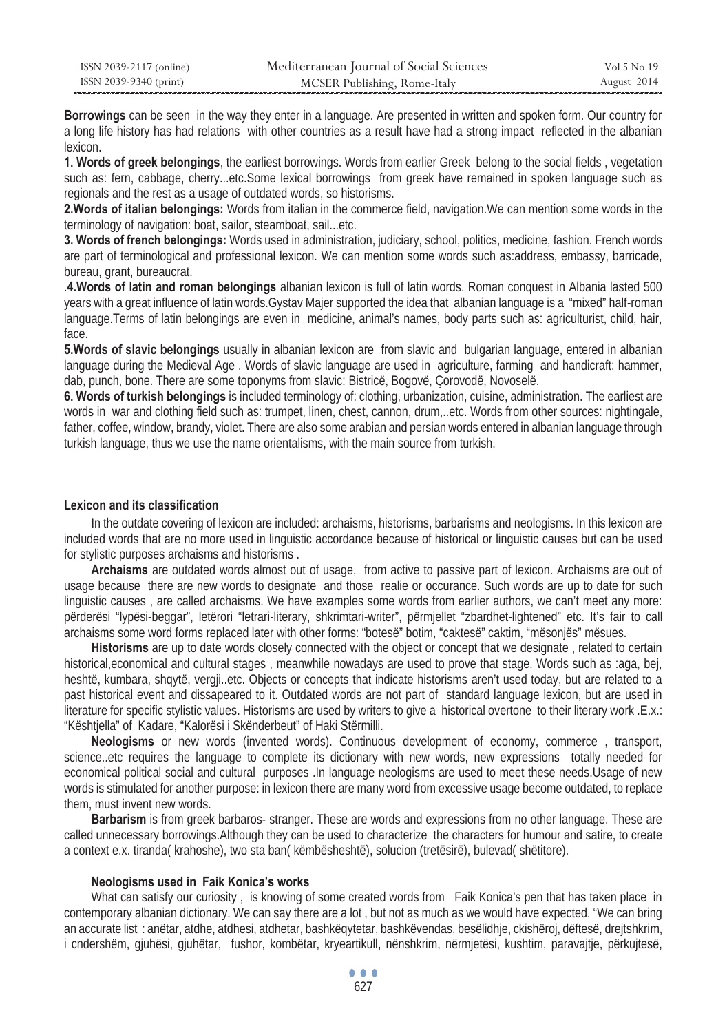| ISSN 2039-2117 (online) | Mediterranean Journal of Social Sciences | Vol 5 No 19 |
|-------------------------|------------------------------------------|-------------|
| ISSN 2039-9340 (print)  | MCSER Publishing, Rome-Italy             | August 2014 |

**Borrowings** can be seen in the way they enter in a language. Are presented in written and spoken form. Our country for a long life history has had relations with other countries as a result have had a strong impact reflected in the albanian lexicon.

**1. Words of greek belongings**, the earliest borrowings. Words from earlier Greek belong to the social fields , vegetation such as: fern, cabbage, cherry...etc.Some lexical borrowings from greek have remained in spoken language such as regionals and the rest as a usage of outdated words, so historisms.

**2.Words of italian belongings:** Words from italian in the commerce field, navigation.We can mention some words in the terminology of navigation: boat, sailor, steamboat, sail...etc.

**3. Words of french belongings:** Words used in administration, judiciary, school, politics, medicine, fashion. French words are part of terminological and professional lexicon. We can mention some words such as:address, embassy, barricade, bureau, grant, bureaucrat.

.**4.Words of latin and roman belongings** albanian lexicon is full of latin words. Roman conquest in Albania lasted 500 years with a great influence of latin words.Gystav Majer supported the idea that albanian language is a "mixed" half-roman language.Terms of latin belongings are even in medicine, animal's names, body parts such as: agriculturist, child, hair, face.

**5.Words of slavic belongings** usually in albanian lexicon are from slavic and bulgarian language, entered in albanian language during the Medieval Age . Words of slavic language are used in agriculture, farming and handicraft: hammer, dab, punch, bone. There are some toponyms from slavic: Bistricë, Bogovë, Çorovodë, Novoselë.

**6. Words of turkish belongings** is included terminology of: clothing, urbanization, cuisine, administration. The earliest are words in war and clothing field such as: trumpet, linen, chest, cannon, drum,..etc. Words from other sources: nightingale, father, coffee, window, brandy, violet. There are also some arabian and persian words entered in albanian language through turkish language, thus we use the name orientalisms, with the main source from turkish.

### **Lexicon and its classification**

In the outdate covering of lexicon are included: archaisms, historisms, barbarisms and neologisms. In this lexicon are included words that are no more used in linguistic accordance because of historical or linguistic causes but can be used for stylistic purposes archaisms and historisms .

**Archaisms** are outdated words almost out of usage, from active to passive part of lexicon. Archaisms are out of usage because there are new words to designate and those realie or occurance. Such words are up to date for such linguistic causes , are called archaisms. We have examples some words from earlier authors, we can't meet any more: përderësi "lypësi-beggar", letërori "letrari-literary, shkrimtari-writer", përmjellet "zbardhet-lightened" etc. It's fair to call archaisms some word forms replaced later with other forms: "botesë" botim, "caktesë" caktim, "mësonjës" mësues.

**Historisms** are up to date words closely connected with the object or concept that we designate , related to certain historical, economical and cultural stages, meanwhile nowadays are used to prove that stage. Words such as :aga, bej, heshtë, kumbara, shqytë, vergji..etc. Objects or concepts that indicate historisms aren't used today, but are related to a past historical event and dissapeared to it. Outdated words are not part of standard language lexicon, but are used in literature for specific stylistic values. Historisms are used by writers to give a historical overtone to their literary work .E.x.: "Kështjella" of Kadare, "Kalorësi i Skënderbeut" of Haki Stërmilli.

**Neologisms** or new words (invented words). Continuous development of economy, commerce , transport, science..etc requires the language to complete its dictionary with new words, new expressions totally needed for economical political social and cultural purposes .In language neologisms are used to meet these needs.Usage of new words is stimulated for another purpose: in lexicon there are many word from excessive usage become outdated, to replace them, must invent new words.

**Barbarism** is from greek barbaros- stranger. These are words and expressions from no other language. These are called unnecessary borrowings.Although they can be used to characterize the characters for humour and satire, to create a context e.x. tiranda( krahoshe), two sta ban( këmbësheshtë), solucion (tretësirë), bulevad( shëtitore).

## **Neologisms used in Faik Konica's works**

What can satisfy our curiosity, is knowing of some created words from Faik Konica's pen that has taken place in contemporary albanian dictionary. We can say there are a lot , but not as much as we would have expected. "We can bring an accurate list : anëtar, atdhe, atdhesi, atdhetar, bashkëqytetar, bashkëvendas, besëlidhje, ckishëroj, dëftesë, drejtshkrim, i cndershëm, gjuhësi, gjuhëtar, fushor, kombëtar, kryeartikull, nënshkrim, nërmjetësi, kushtim, paravajtje, përkujtesë,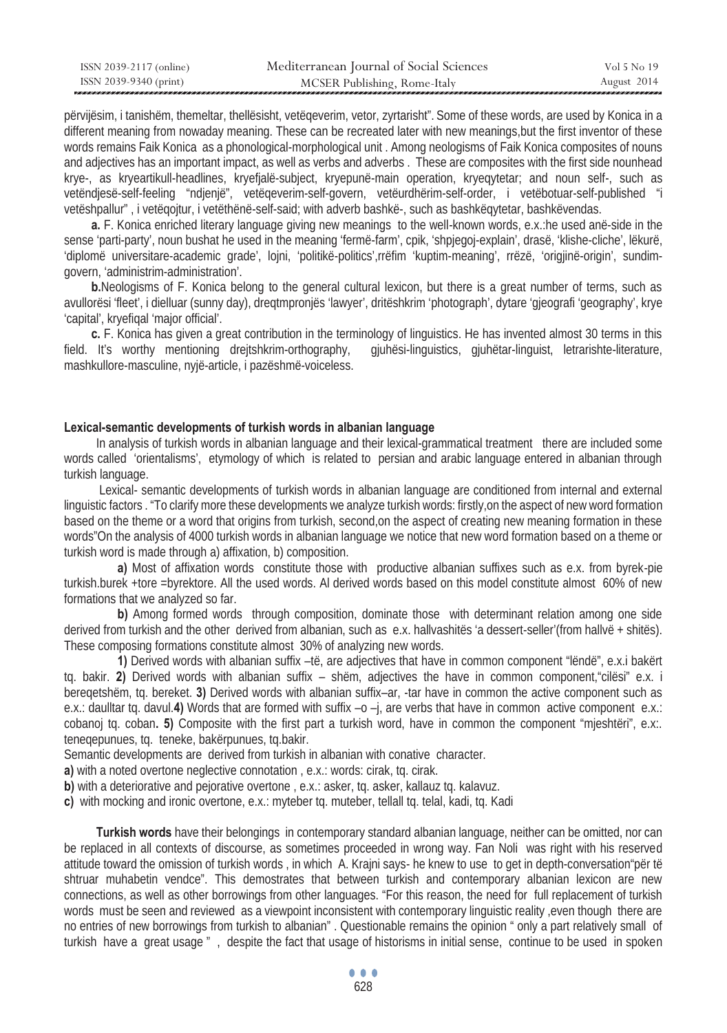| ISSN 2039-2117 (online) | Mediterranean Journal of Social Sciences | Vol 5 No 19 |
|-------------------------|------------------------------------------|-------------|
| ISSN 2039-9340 (print)  | MCSER Publishing, Rome-Italy             | August 2014 |

përvijësim, i tanishëm, themeltar, thellësisht, vetëqeverim, vetor, zyrtarisht". Some of these words, are used by Konica in a different meaning from nowaday meaning. These can be recreated later with new meanings,but the first inventor of these words remains Faik Konica as a phonological-morphological unit . Among neologisms of Faik Konica composites of nouns and adjectives has an important impact, as well as verbs and adverbs . These are composites with the first side nounhead krye-, as kryeartikull-headlines, kryefjalë-subject, kryepunë-main operation, kryeqytetar; and noun self-, such as vetëndjesë-self-feeling "ndjenjë", vetëqeverim-self-govern, vetëurdhërim-self-order, i vetëbotuar-self-published "i vetëshpallur" , i vetëqojtur, i vetëthënë-self-said; with adverb bashkë-, such as bashkëqytetar, bashkëvendas.

**a.** F. Konica enriched literary language giving new meanings to the well-known words, e.x.:he used anë-side in the sense 'parti-party', noun bushat he used in the meaning 'fermë-farm', cpik, 'shpjegoj-explain', drasë, 'klishe-cliche', lëkurë, 'diplomë universitare-academic grade', lojni, 'politikë-politics',rrëfim 'kuptim-meaning', rrëzë, 'origjinë-origin', sundimgovern, 'administrim-administration'.

**b.**Neologisms of F. Konica belong to the general cultural lexicon, but there is a great number of terms, such as avullorësi 'fleet', i dielluar (sunny day), dreqtmpronjës 'lawyer', dritëshkrim 'photograph', dytare 'gjeografi 'geography', krye 'capital', kryefiqal 'major official'.

**c.** F. Konica has given a great contribution in the terminology of linguistics. He has invented almost 30 terms in this field. It's worthy mentioning drejtshkrim-orthography, gjuhësi-linguistics, gjuhëtar-linguist, letrarishte-literature, mashkullore-masculine, nyjë-article, i pazëshmë-voiceless.

## **Lexical-semantic developments of turkish words in albanian language**

In analysis of turkish words in albanian language and their lexical-grammatical treatment there are included some words called 'orientalisms', etymology of which is related to persian and arabic language entered in albanian through turkish language.

 Lexical- semantic developments of turkish words in albanian language are conditioned from internal and external linguistic factors . "To clarify more these developments we analyze turkish words: firstly,on the aspect of new word formation based on the theme or a word that origins from turkish, second,on the aspect of creating new meaning formation in these words"On the analysis of 4000 turkish words in albanian language we notice that new word formation based on a theme or turkish word is made through a) affixation, b) composition.

**a)** Most of affixation words constitute those with productive albanian suffixes such as e.x. from byrek-pie turkish.burek +tore =byrektore. All the used words. Al derived words based on this model constitute almost 60% of new formations that we analyzed so far.

**b)** Among formed words through composition, dominate those with determinant relation among one side derived from turkish and the other derived from albanian, such as e.x. hallvashitës 'a dessert-seller'(from hallvë + shitës). These composing formations constitute almost 30% of analyzing new words.

**1)** Derived words with albanian suffix –të, are adjectives that have in common component "lëndë", e.x.i bakërt tq. bakir. **2)** Derived words with albanian suffix – shëm, adjectives the have in common component,"cilësi" e.x. i bereqetshëm, tq. bereket. **3)** Derived words with albanian suffix–ar, -tar have in common the active component such as e.x.: daulltar tq. davul.**4)** Words that are formed with suffix –o –j, are verbs that have in common active component e.x.: cobanoj tq. coban**. 5)** Composite with the first part a turkish word, have in common the component "mjeshtëri", e.x:. teneqepunues, tq. teneke, bakërpunues, tq.bakir.

Semantic developments are derived from turkish in albanian with conative character.

**a)** with a noted overtone neglective connotation , e.x.: words: cirak, tq. cirak.

**b)** with a deteriorative and pejorative overtone, e.x.: asker, tq. asker, kallauz tq. kalavuz.

**c)** with mocking and ironic overtone, e.x.: myteber tq. muteber, tellall tq. telal, kadi, tq. Kadi

**Turkish words** have their belongings in contemporary standard albanian language, neither can be omitted, nor can be replaced in all contexts of discourse, as sometimes proceeded in wrong way. Fan Noli was right with his reserved attitude toward the omission of turkish words , in which A. Krajni says- he knew to use to get in depth-conversation"për të shtruar muhabetin vendce". This demostrates that between turkish and contemporary albanian lexicon are new connections, as well as other borrowings from other languages. "For this reason, the need for full replacement of turkish words must be seen and reviewed as a viewpoint inconsistent with contemporary linguistic reality ,even though there are no entries of new borrowings from turkish to albanian" . Questionable remains the opinion " only a part relatively small of turkish have a great usage " , despite the fact that usage of historisms in initial sense, continue to be used in spoken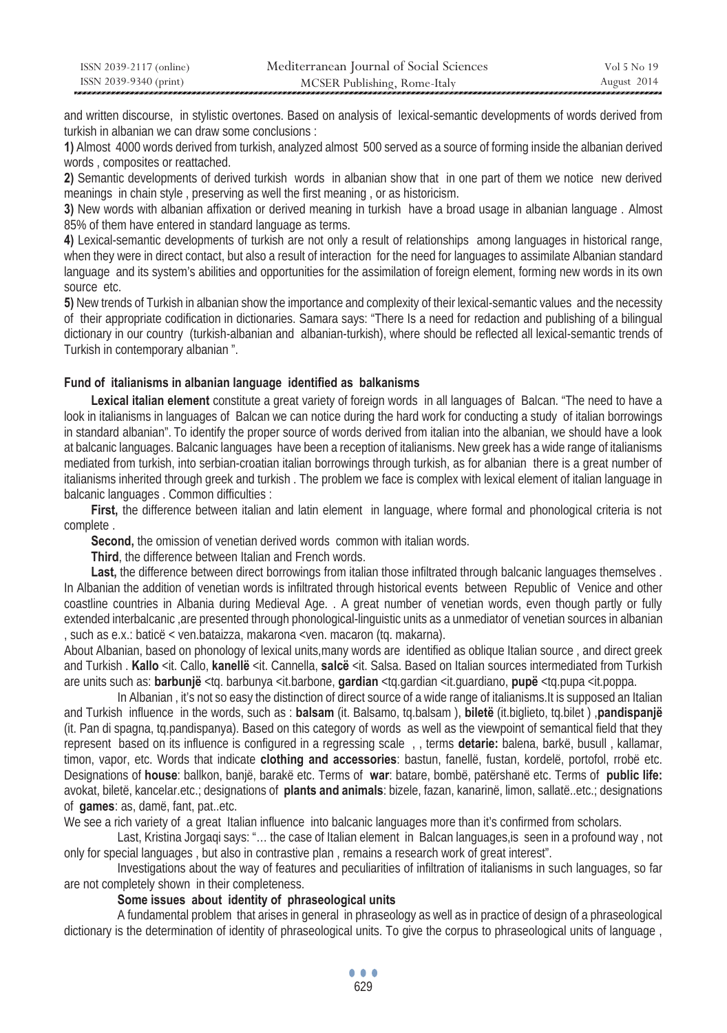| ISSN 2039-2117 (online) | Mediterranean Journal of Social Sciences | Vol 5 No 19 |
|-------------------------|------------------------------------------|-------------|
| ISSN 2039-9340 (print)  | MCSER Publishing, Rome-Italy             | August 2014 |

and written discourse, in stylistic overtones. Based on analysis of lexical-semantic developments of words derived from turkish in albanian we can draw some conclusions :

**1)** Almost 4000 words derived from turkish, analyzed almost 500 served as a source of forming inside the albanian derived words , composites or reattached.

**2)** Semantic developments of derived turkish words in albanian show that in one part of them we notice new derived meanings in chain style , preserving as well the first meaning , or as historicism.

**3)** New words with albanian affixation or derived meaning in turkish have a broad usage in albanian language . Almost 85% of them have entered in standard language as terms.

**4)** Lexical-semantic developments of turkish are not only a result of relationships among languages in historical range, when they were in direct contact, but also a result of interaction for the need for languages to assimilate Albanian standard language and its system's abilities and opportunities for the assimilation of foreign element, forming new words in its own source etc.

**5)** New trends of Turkish in albanian show the importance and complexity of their lexical-semantic values and the necessity of their appropriate codification in dictionaries. Samara says: "There Is a need for redaction and publishing of a bilingual dictionary in our country (turkish-albanian and albanian-turkish), where should be reflected all lexical-semantic trends of Turkish in contemporary albanian ".

## **Fund of italianisms in albanian language identified as balkanisms**

**Lexical italian element** constitute a great variety of foreign words in all languages of Balcan. "The need to have a look in italianisms in languages of Balcan we can notice during the hard work for conducting a study of italian borrowings in standard albanian". To identify the proper source of words derived from italian into the albanian, we should have a look at balcanic languages. Balcanic languages have been a reception of italianisms. New greek has a wide range of italianisms mediated from turkish, into serbian-croatian italian borrowings through turkish, as for albanian there is a great number of italianisms inherited through greek and turkish . The problem we face is complex with lexical element of italian language in balcanic languages . Common difficulties :

**First,** the difference between italian and latin element in language, where formal and phonological criteria is not complete .

**Second,** the omission of venetian derived words common with italian words.

**Third**, the difference between Italian and French words.

Last, the difference between direct borrowings from italian those infiltrated through balcanic languages themselves . In Albanian the addition of venetian words is infiltrated through historical events between Republic of Venice and other coastline countries in Albania during Medieval Age. . A great number of venetian words, even though partly or fully extended interbalcanic ,are presented through phonological-linguistic units as a unmediator of venetian sources in albanian , such as e.x.: baticë < ven.bataizza, makarona <ven. macaron (tq. makarna).

About Albanian, based on phonology of lexical units,many words are identified as oblique Italian source , and direct greek and Turkish . **Kallo** <it. Callo, **kanellë** <it. Cannella, **salcë** <it. Salsa. Based on Italian sources intermediated from Turkish are units such as: **barbunjë** <tq. barbunya <it.barbone, **gardian** <tq.gardian <it.guardiano, **pupë** <tq.pupa <it.poppa.

In Albanian , it's not so easy the distinction of direct source of a wide range of italianisms.It is supposed an Italian and Turkish influence in the words, such as : **balsam** (it. Balsamo, tq.balsam ), **biletë** (it.biglieto, tq.bilet ) ,**pandispanjë** (it. Pan di spagna, tq.pandispanya). Based on this category of words as well as the viewpoint of semantical field that they represent based on its influence is configured in a regressing scale , , terms **detarie:** balena, barkë, busull , kallamar, timon, vapor, etc. Words that indicate **clothing and accessories**: bastun, fanellë, fustan, kordelë, portofol, rrobë etc. Designations of **house**: ballkon, banjë, barakë etc. Terms of **war**: batare, bombë, patërshanë etc. Terms of **public life:**  avokat, biletë, kancelar.etc.; designations of **plants and animals**: bizele, fazan, kanarinë, limon, sallatë..etc.; designations of **games**: as, damë, fant, pat..etc.

We see a rich variety of a great Italian influence into balcanic languages more than it's confirmed from scholars.

Last, Kristina Jorgaqi says: "... the case of Italian element in Balcan languages, is seen in a profound way, not only for special languages , but also in contrastive plan , remains a research work of great interest".

Investigations about the way of features and peculiarities of infiltration of italianisms in such languages, so far are not completely shown in their completeness.

## **Some issues about identity of phraseological units**

A fundamental problem that arises in general in phraseology as well as in practice of design of a phraseological dictionary is the determination of identity of phraseological units. To give the corpus to phraseological units of language ,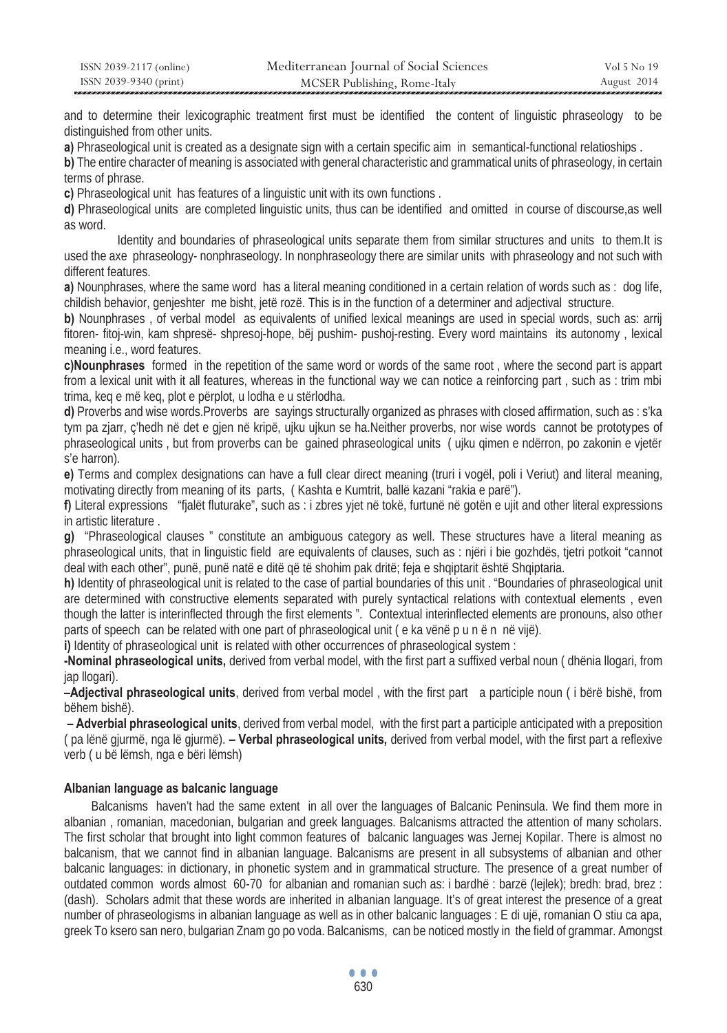| ISSN 2039-2117 (online) | Mediterranean Journal of Social Sciences | Vol 5 No 19 |
|-------------------------|------------------------------------------|-------------|
| ISSN 2039-9340 (print)  | MCSER Publishing, Rome-Italy             | August 2014 |

and to determine their lexicographic treatment first must be identified the content of linguistic phraseology to be distinguished from other units.

**a)** Phraseological unit is created as a designate sign with a certain specific aim in semantical-functional relatioships.

**b)** The entire character of meaning is associated with general characteristic and grammatical units of phraseology, in certain terms of phrase.

**c)** Phraseological unit has features of a linguistic unit with its own functions .

**d)** Phraseological units are completed linguistic units, thus can be identified and omitted in course of discourse,as well as word.

Identity and boundaries of phraseological units separate them from similar structures and units to them.It is used the axe phraseology- nonphraseology. In nonphraseology there are similar units with phraseology and not such with different features.

**a)** Nounphrases, where the same word has a literal meaning conditioned in a certain relation of words such as: dog life, childish behavior, genjeshter me bisht, jetë rozë. This is in the function of a determiner and adjectival structure.

**b)** Nounphrases , of verbal model as equivalents of unified lexical meanings are used in special words, such as: arrij fitoren- fitoj-win, kam shpresë- shpresoj-hope, bëj pushim- pushoj-resting. Every word maintains its autonomy , lexical meaning i.e., word features.

**c)Nounphrases** formed in the repetition of the same word or words of the same root , where the second part is appart from a lexical unit with it all features, whereas in the functional way we can notice a reinforcing part , such as : trim mbi trima, keq e më keq, plot e përplot, u lodha e u stërlodha.

**d)** Proverbs and wise words.Proverbs are sayings structurally organized as phrases with closed affirmation, such as : s'ka tym pa zjarr, ç'hedh në det e gjen në kripë, ujku ujkun se ha.Neither proverbs, nor wise words cannot be prototypes of phraseological units , but from proverbs can be gained phraseological units ( ujku qimen e ndërron, po zakonin e vjetër s'e harron).

**e)** Terms and complex designations can have a full clear direct meaning (truri i vogël, poli i Veriut) and literal meaning, motivating directly from meaning of its parts, ( Kashta e Kumtrit, ballë kazani "rakia e parë").

**f)** Literal expressions "fjalët fluturake", such as : i zbres yjet në tokë, furtunë në gotën e ujit and other literal expressions in artistic literature .

**g)** "Phraseological clauses " constitute an ambiguous category as well. These structures have a literal meaning as phraseological units, that in linguistic field are equivalents of clauses, such as : njëri i bie gozhdës, tjetri potkoit "cannot deal with each other", punë, punë natë e ditë që të shohim pak dritë; feja e shqiptarit është Shqiptaria.

**h)** Identity of phraseological unit is related to the case of partial boundaries of this unit . "Boundaries of phraseological unit are determined with constructive elements separated with purely syntactical relations with contextual elements , even though the latter is interinflected through the first elements ". Contextual interinflected elements are pronouns, also other parts of speech can be related with one part of phraseological unit ( e ka vënë p u n ë n në vijë).

**i)** Identity of phraseological unit is related with other occurrences of phraseological system :

**-Nominal phraseological units,** derived from verbal model, with the first part a suffixed verbal noun ( dhënia llogari, from jap llogari).

**–Adjectival phraseological units**, derived from verbal model , with the first part a participle noun ( i bërë bishë, from bëhem bishë).

 **– Adverbial phraseological units**, derived from verbal model, with the first part a participle anticipated with a preposition ( pa lënë gjurmë, nga lë gjurmë). **– Verbal phraseological units,** derived from verbal model, with the first part a reflexive verb ( u bë lëmsh, nga e bëri lëmsh)

## **Albanian language as balcanic language**

Balcanisms haven't had the same extent in all over the languages of Balcanic Peninsula. We find them more in albanian , romanian, macedonian, bulgarian and greek languages. Balcanisms attracted the attention of many scholars. The first scholar that brought into light common features of balcanic languages was Jernej Kopilar. There is almost no balcanism, that we cannot find in albanian language. Balcanisms are present in all subsystems of albanian and other balcanic languages: in dictionary, in phonetic system and in grammatical structure. The presence of a great number of outdated common words almost 60-70 for albanian and romanian such as: i bardhë : barzë (lejlek); bredh: brad, brez : (dash). Scholars admit that these words are inherited in albanian language. It's of great interest the presence of a great number of phraseologisms in albanian language as well as in other balcanic languages : E di ujë, romanian O stiu ca apa, greek To ksero san nero, bulgarian Znam go po voda. Balcanisms, can be noticed mostly in the field of grammar. Amongst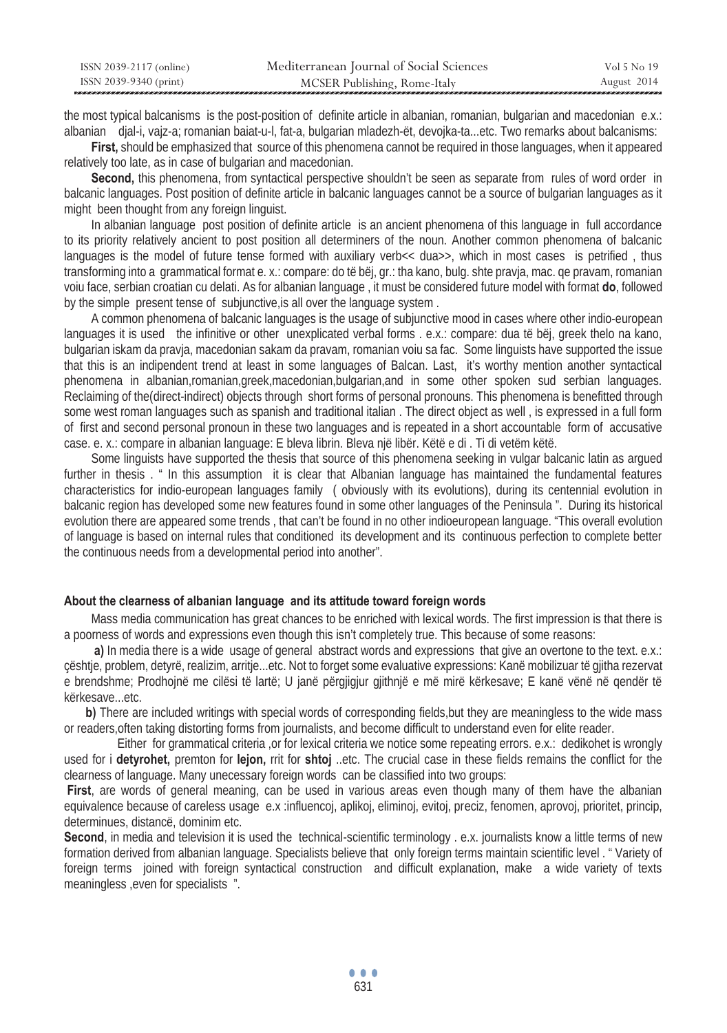| ISSN 2039-2117 (online) | Mediterranean Journal of Social Sciences | Vol 5 No 19 |
|-------------------------|------------------------------------------|-------------|
| ISSN 2039-9340 (print)  | MCSER Publishing, Rome-Italy             | August 2014 |

the most typical balcanisms is the post-position of definite article in albanian, romanian, bulgarian and macedonian e.x.: albanian djal-i, vajz-a; romanian baiat-u-l, fat-a, bulgarian mladezh-ët, devojka-ta...etc. Two remarks about balcanisms:

**First,** should be emphasized that source of this phenomena cannot be required in those languages, when it appeared relatively too late, as in case of bulgarian and macedonian.

**Second,** this phenomena, from syntactical perspective shouldn't be seen as separate from rules of word order in balcanic languages. Post position of definite article in balcanic languages cannot be a source of bulgarian languages as it might been thought from any foreign linguist.

In albanian language post position of definite article is an ancient phenomena of this language in full accordance to its priority relatively ancient to post position all determiners of the noun. Another common phenomena of balcanic languages is the model of future tense formed with auxiliary verb<< dua>>, which in most cases is petrified, thus transforming into a grammatical format e. x.: compare: do të bëj, gr.: tha kano, bulg. shte pravja, mac. qe pravam, romanian voiu face, serbian croatian cu delati. As for albanian language , it must be considered future model with format **do**, followed by the simple present tense of subjunctive,is all over the language system .

A common phenomena of balcanic languages is the usage of subjunctive mood in cases where other indio-european languages it is used the infinitive or other unexplicated verbal forms . e.x.: compare: dua të bëj, greek thelo na kano, bulgarian iskam da pravja, macedonian sakam da pravam, romanian voiu sa fac. Some linguists have supported the issue that this is an indipendent trend at least in some languages of Balcan. Last, it's worthy mention another syntactical phenomena in albanian,romanian,greek,macedonian,bulgarian,and in some other spoken sud serbian languages. Reclaiming of the(direct-indirect) objects through short forms of personal pronouns. This phenomena is benefitted through some west roman languages such as spanish and traditional italian . The direct object as well , is expressed in a full form of first and second personal pronoun in these two languages and is repeated in a short accountable form of accusative case. e. x.: compare in albanian language: E bleva librin. Bleva një libër. Këtë e di . Ti di vetëm këtë.

Some linguists have supported the thesis that source of this phenomena seeking in vulgar balcanic latin as argued further in thesis . " In this assumption it is clear that Albanian language has maintained the fundamental features characteristics for indio-european languages family ( obviously with its evolutions), during its centennial evolution in balcanic region has developed some new features found in some other languages of the Peninsula ". During its historical evolution there are appeared some trends , that can't be found in no other indioeuropean language. "This overall evolution of language is based on internal rules that conditioned its development and its continuous perfection to complete better the continuous needs from a developmental period into another".

## **About the clearness of albanian language and its attitude toward foreign words**

Mass media communication has great chances to be enriched with lexical words. The first impression is that there is a poorness of words and expressions even though this isn't completely true. This because of some reasons:

**a)** In media there is a wide usage of general abstract words and expressions that give an overtone to the text. e.x.: çështje, problem, detyrë, realizim, arritje...etc. Not to forget some evaluative expressions: Kanë mobilizuar të gjitha rezervat e brendshme; Prodhojnë me cilësi të lartë; U janë përgjigjur gjithnjë e më mirë kërkesave; E kanë vënë në qendër të kërkesave...etc.

**b)** There are included writings with special words of corresponding fields, but they are meaningless to the wide mass or readers,often taking distorting forms from journalists, and become difficult to understand even for elite reader.

Either for grammatical criteria ,or for lexical criteria we notice some repeating errors. e.x.: dedikohet is wrongly used for i **detyrohet,** premton for **lejon,** rrit for **shtoj** ..etc. The crucial case in these fields remains the conflict for the clearness of language. Many unecessary foreign words can be classified into two groups:

 **First**, are words of general meaning, can be used in various areas even though many of them have the albanian equivalence because of careless usage e.x :influencoj, aplikoj, eliminoj, evitoj, preciz, fenomen, aprovoj, prioritet, princip, determinues, distancë, dominim etc.

**Second**, in media and television it is used the technical-scientific terminology . e.x. journalists know a little terms of new formation derived from albanian language. Specialists believe that only foreign terms maintain scientific level . " Variety of foreign terms joined with foreign syntactical construction and difficult explanation, make a wide variety of texts meaningless , even for specialists ".

 $\bullet$   $\bullet$   $\bullet$ **631**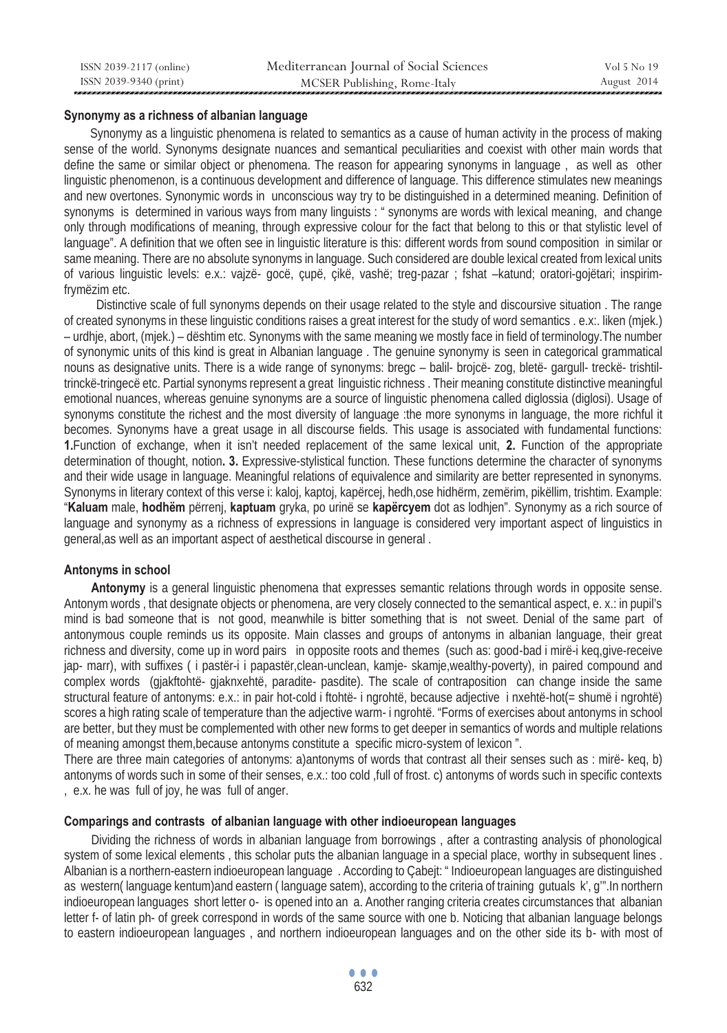| ISSN 2039-2117 (online) | Mediterranean Journal of Social Sciences | Vol 5 No 19 |
|-------------------------|------------------------------------------|-------------|
| ISSN 2039-9340 (print)  | MCSER Publishing, Rome-Italy             | August 2014 |

## **Synonymy as a richness of albanian language**

Synonymy as a linguistic phenomena is related to semantics as a cause of human activity in the process of making sense of the world. Synonyms designate nuances and semantical peculiarities and coexist with other main words that define the same or similar object or phenomena. The reason for appearing synonyms in language , as well as other linguistic phenomenon, is a continuous development and difference of language. This difference stimulates new meanings and new overtones. Synonymic words in unconscious way try to be distinguished in a determined meaning. Definition of synonyms is determined in various ways from many linguists : " synonyms are words with lexical meaning, and change only through modifications of meaning, through expressive colour for the fact that belong to this or that stylistic level of language". A definition that we often see in linguistic literature is this: different words from sound composition in similar or same meaning. There are no absolute synonyms in language. Such considered are double lexical created from lexical units of various linguistic levels: e.x.: vajzë- gocë, çupë, çikë, vashë; treg-pazar ; fshat –katund; oratori-gojëtari; inspirimfrymëzim etc.

Distinctive scale of full synonyms depends on their usage related to the style and discoursive situation . The range of created synonyms in these linguistic conditions raises a great interest for the study of word semantics . e.x:. liken (mjek.) – urdhje, abort, (mjek.) – dështim etc. Synonyms with the same meaning we mostly face in field of terminology.The number of synonymic units of this kind is great in Albanian language . The genuine synonymy is seen in categorical grammatical nouns as designative units. There is a wide range of synonyms: bregc – balil- brojcë- zog, bletë- gargull- treckë- trishtiltrinckë-tringecë etc. Partial synonyms represent a great linguistic richness . Their meaning constitute distinctive meaningful emotional nuances, whereas genuine synonyms are a source of linguistic phenomena called diglossia (diglosi). Usage of synonyms constitute the richest and the most diversity of language :the more synonyms in language, the more richful it becomes. Synonyms have a great usage in all discourse fields. This usage is associated with fundamental functions: **1.**Function of exchange, when it isn't needed replacement of the same lexical unit, **2.** Function of the appropriate determination of thought, notion**. 3.** Expressive-stylistical function. These functions determine the character of synonyms and their wide usage in language. Meaningful relations of equivalence and similarity are better represented in synonyms. Synonyms in literary context of this verse i: kaloj, kaptoj, kapërcej, hedh,ose hidhërm, zemërim, pikëllim, trishtim. Example: "**Kaluam** male, **hodhëm** përrenj, **kaptuam** gryka, po urinë se **kapërcyem** dot as lodhjen". Synonymy as a rich source of language and synonymy as a richness of expressions in language is considered very important aspect of linguistics in general,as well as an important aspect of aesthetical discourse in general .

### **Antonyms in school**

**Antonymy** is a general linguistic phenomena that expresses semantic relations through words in opposite sense. Antonym words , that designate objects or phenomena, are very closely connected to the semantical aspect, e. x.: in pupil's mind is bad someone that is not good, meanwhile is bitter something that is not sweet. Denial of the same part of antonymous couple reminds us its opposite. Main classes and groups of antonyms in albanian language, their great richness and diversity, come up in word pairs in opposite roots and themes (such as: good-bad i mirë-i keq,give-receive jap- marr), with suffixes ( i pastër-i i papastër,clean-unclean, kamje- skamje,wealthy-poverty), in paired compound and complex words (gjakftohtë- gjaknxehtë, paradite- pasdite). The scale of contraposition can change inside the same structural feature of antonyms: e.x.: in pair hot-cold i ftohtë- i ngrohtë, because adjective i nxehtë-hot(= shumë i ngrohtë) scores a high rating scale of temperature than the adjective warm- i ngrohtë. "Forms of exercises about antonyms in school are better, but they must be complemented with other new forms to get deeper in semantics of words and multiple relations of meaning amongst them,because antonyms constitute a specific micro-system of lexicon ".

There are three main categories of antonyms: a)antonyms of words that contrast all their senses such as : mirë- keq, b) antonyms of words such in some of their senses, e.x.: too cold ,full of frost. c) antonyms of words such in specific contexts , e.x. he was full of joy, he was full of anger.

### **Comparings and contrasts of albanian language with other indioeuropean languages**

Dividing the richness of words in albanian language from borrowings , after a contrasting analysis of phonological system of some lexical elements , this scholar puts the albanian language in a special place, worthy in subsequent lines . Albanian is a northern-eastern indioeuropean language . According to Çabejt: " Indioeuropean languages are distinguished as western( language kentum)and eastern ( language satem), according to the criteria of training gutuals k', g'".In northern indioeuropean languages short letter o- is opened into an a. Another ranging criteria creates circumstances that albanian letter f- of latin ph- of greek correspond in words of the same source with one b. Noticing that albanian language belongs to eastern indioeuropean languages , and northern indioeuropean languages and on the other side its b- with most of